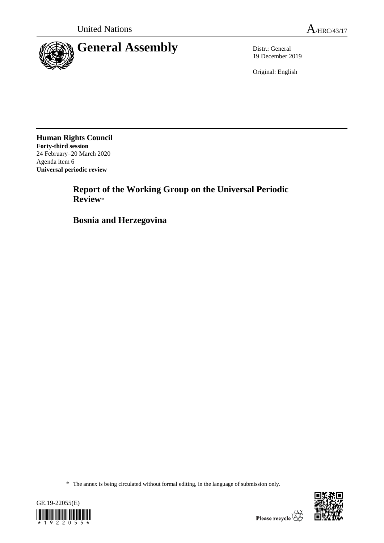

19 December 2019

Original: English

**Human Rights Council Forty-third session** 24 February–20 March 2020 Agenda item 6 **Universal periodic review**

> **Report of the Working Group on the Universal Periodic Review**\*

**Bosnia and Herzegovina**

<sup>\*</sup> The annex is being circulated without formal editing, in the language of submission only.



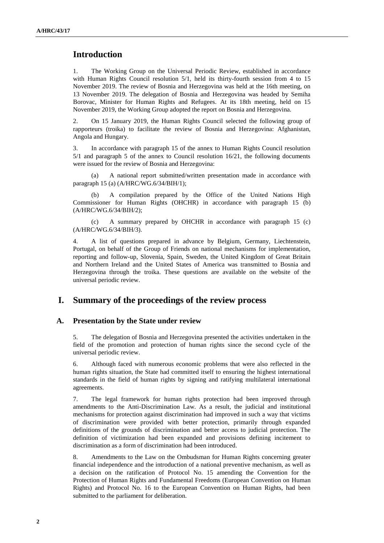# **Introduction**

1. The Working Group on the Universal Periodic Review, established in accordance with Human Rights Council resolution 5/1, held its thirty-fourth session from 4 to 15 November 2019. The review of Bosnia and Herzegovina was held at the 16th meeting, on 13 November 2019. The delegation of Bosnia and Herzegovina was headed by Semiha Borovac, Minister for Human Rights and Refugees. At its 18th meeting, held on 15 November 2019, the Working Group adopted the report on Bosnia and Herzegovina.

2. On 15 January 2019, the Human Rights Council selected the following group of rapporteurs (troika) to facilitate the review of Bosnia and Herzegovina: Afghanistan, Angola and Hungary.

3. In accordance with paragraph 15 of the annex to Human Rights Council resolution 5/1 and paragraph 5 of the annex to Council resolution 16/21, the following documents were issued for the review of Bosnia and Herzegovina:

(a) A national report submitted/written presentation made in accordance with paragraph 15 (a) (A/HRC/WG.6/34/BIH/1);

(b) A compilation prepared by the Office of the United Nations High Commissioner for Human Rights (OHCHR) in accordance with paragraph 15 (b) (A/HRC/WG.6/34/BIH/2);

(c) A summary prepared by OHCHR in accordance with paragraph 15 (c) (A/HRC/WG.6/34/BIH/3).

4. A list of questions prepared in advance by Belgium, Germany, Liechtenstein, Portugal, on behalf of the Group of Friends on national mechanisms for implementation, reporting and follow-up, Slovenia, Spain, Sweden, the United Kingdom of Great Britain and Northern Ireland and the United States of America was transmitted to Bosnia and Herzegovina through the troika. These questions are available on the website of the universal periodic review.

## **I. Summary of the proceedings of the review process**

### **A. Presentation by the State under review**

5. The delegation of Bosnia and Herzegovina presented the activities undertaken in the field of the promotion and protection of human rights since the second cycle of the universal periodic review.

6. Although faced with numerous economic problems that were also reflected in the human rights situation, the State had committed itself to ensuring the highest international standards in the field of human rights by signing and ratifying multilateral international agreements.

7. The legal framework for human rights protection had been improved through amendments to the Anti-Discrimination Law. As a result, the judicial and institutional mechanisms for protection against discrimination had improved in such a way that victims of discrimination were provided with better protection, primarily through expanded definitions of the grounds of discrimination and better access to judicial protection. The definition of victimization had been expanded and provisions defining incitement to discrimination as a form of discrimination had been introduced.

8. Amendments to the Law on the Ombudsman for Human Rights concerning greater financial independence and the introduction of a national preventive mechanism, as well as a decision on the ratification of Protocol No. 15 amending the Convention for the Protection of Human Rights and Fundamental Freedoms (European Convention on Human Rights) and Protocol No. 16 to the European Convention on Human Rights, had been submitted to the parliament for deliberation.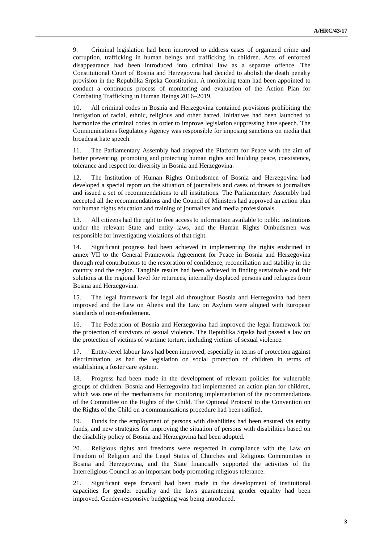9. Criminal legislation had been improved to address cases of organized crime and corruption, trafficking in human beings and trafficking in children. Acts of enforced disappearance had been introduced into criminal law as a separate offence. The Constitutional Court of Bosnia and Herzegovina had decided to abolish the death penalty provision in the Republika Srpska Constitution. A monitoring team had been appointed to conduct a continuous process of monitoring and evaluation of the Action Plan for Combating Trafficking in Human Beings 2016–2019.

10. All criminal codes in Bosnia and Herzegovina contained provisions prohibiting the instigation of racial, ethnic, religious and other hatred. Initiatives had been launched to harmonize the criminal codes in order to improve legislation suppressing hate speech. The Communications Regulatory Agency was responsible for imposing sanctions on media that broadcast hate speech.

11. The Parliamentary Assembly had adopted the Platform for Peace with the aim of better preventing, promoting and protecting human rights and building peace, coexistence, tolerance and respect for diversity in Bosnia and Herzegovina.

12. The Institution of Human Rights Ombudsmen of Bosnia and Herzegovina had developed a special report on the situation of journalists and cases of threats to journalists and issued a set of recommendations to all institutions. The Parliamentary Assembly had accepted all the recommendations and the Council of Ministers had approved an action plan for human rights education and training of journalists and media professionals.

13. All citizens had the right to free access to information available to public institutions under the relevant State and entity laws, and the Human Rights Ombudsmen was responsible for investigating violations of that right.

14. Significant progress had been achieved in implementing the rights enshrined in annex VII to the General Framework Agreement for Peace in Bosnia and Herzegovina through real contributions to the restoration of confidence, reconciliation and stability in the country and the region. Tangible results had been achieved in finding sustainable and fair solutions at the regional level for returnees, internally displaced persons and refugees from Bosnia and Herzegovina.

15. The legal framework for legal aid throughout Bosnia and Herzegovina had been improved and the Law on Aliens and the Law on Asylum were aligned with European standards of non-refoulement.

16. The Federation of Bosnia and Herzegovina had improved the legal framework for the protection of survivors of sexual violence. The Republika Srpska had passed a law on the protection of victims of wartime torture, including victims of sexual violence.

17. Entity-level labour laws had been improved, especially in terms of protection against discrimination, as had the legislation on social protection of children in terms of establishing a foster care system.

18. Progress had been made in the development of relevant policies for vulnerable groups of children. Bosnia and Herzegovina had implemented an action plan for children, which was one of the mechanisms for monitoring implementation of the recommendations of the Committee on the Rights of the Child. The Optional Protocol to the Convention on the Rights of the Child on a communications procedure had been ratified.

19. Funds for the employment of persons with disabilities had been ensured via entity funds, and new strategies for improving the situation of persons with disabilities based on the disability policy of Bosnia and Herzegovina had been adopted.

20. Religious rights and freedoms were respected in compliance with the Law on Freedom of Religion and the Legal Status of Churches and Religious Communities in Bosnia and Herzegovina, and the State financially supported the activities of the Interreligious Council as an important body promoting religious tolerance.

21. Significant steps forward had been made in the development of institutional capacities for gender equality and the laws guaranteeing gender equality had been improved. Gender-responsive budgeting was being introduced.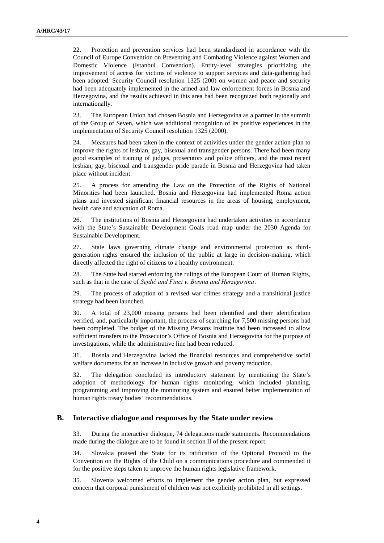22. Protection and prevention services had been standardized in accordance with the Council of Europe Convention on Preventing and Combating Violence against Women and Domestic Violence (Istanbul Convention). Entity-level strategies prioritizing the improvement of access for victims of violence to support services and data-gathering had been adopted. Security Council resolution 1325 (200) on women and peace and security had been adequately implemented in the armed and law enforcement forces in Bosnia and Herzegovina, and the results achieved in this area had been recognized both regionally and internationally.

23. The European Union had chosen Bosnia and Herzegovina as a partner in the summit of the Group of Seven, which was additional recognition of its positive experiences in the implementation of Security Council resolution 1325 (2000).

24. Measures had been taken in the context of activities under the gender action plan to improve the rights of lesbian, gay, bisexual and transgender persons. There had been many good examples of training of judges, prosecutors and police officers, and the most recent lesbian, gay, bisexual and transgender pride parade in Bosnia and Herzegovina had taken place without incident.

25. A process for amending the Law on the Protection of the Rights of National Minorities had been launched. Bosnia and Herzegovina had implemented Roma action plans and invested significant financial resources in the areas of housing, employment, health care and education of Roma.

26. The institutions of Bosnia and Herzegovina had undertaken activities in accordance with the State's Sustainable Development Goals road map under the 2030 Agenda for Sustainable Development.

27. State laws governing climate change and environmental protection as thirdgeneration rights ensured the inclusion of the public at large in decision-making, which directly affected the right of citizens to a healthy environment.

28. The State had started enforcing the rulings of the European Court of Human Rights, such as that in the case of *Sejdić and Finci v. Bosnia and Herzegovina*.

29. The process of adoption of a revised war crimes strategy and a transitional justice strategy had been launched.

30. A total of 23,000 missing persons had been identified and their identification verified, and, particularly important, the process of searching for 7,500 missing persons had been completed. The budget of the Missing Persons Institute had been increased to allow sufficient transfers to the Prosecutor's Office of Bosnia and Herzegovina for the purpose of investigations, while the administrative line had been reduced.

31. Bosnia and Herzegovina lacked the financial resources and comprehensive social welfare documents for an increase in inclusive growth and poverty reduction.

32. The delegation concluded its introductory statement by mentioning the State's adoption of methodology for human rights monitoring, which included planning, programming and improving the monitoring system and ensured better implementation of human rights treaty bodies' recommendations.

#### **B. Interactive dialogue and responses by the State under review**

33. During the interactive dialogue, 74 delegations made statements. Recommendations made during the dialogue are to be found in section II of the present report.

34. Slovakia praised the State for its ratification of the Optional Protocol to the Convention on the Rights of the Child on a communications procedure and commended it for the positive steps taken to improve the human rights legislative framework.

35. Slovenia welcomed efforts to implement the gender action plan, but expressed concern that corporal punishment of children was not explicitly prohibited in all settings.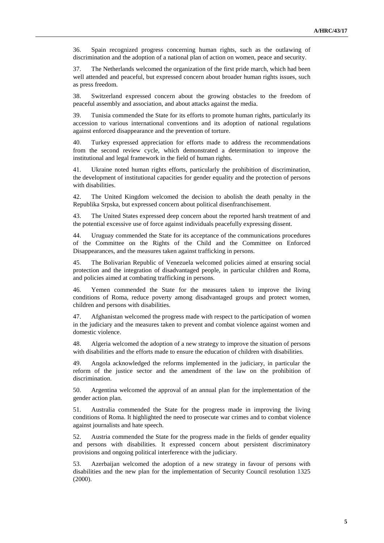36. Spain recognized progress concerning human rights, such as the outlawing of discrimination and the adoption of a national plan of action on women, peace and security.

37. The Netherlands welcomed the organization of the first pride march, which had been well attended and peaceful, but expressed concern about broader human rights issues, such as press freedom.

38. Switzerland expressed concern about the growing obstacles to the freedom of peaceful assembly and association, and about attacks against the media.

39. Tunisia commended the State for its efforts to promote human rights, particularly its accession to various international conventions and its adoption of national regulations against enforced disappearance and the prevention of torture.

40. Turkey expressed appreciation for efforts made to address the recommendations from the second review cycle, which demonstrated a determination to improve the institutional and legal framework in the field of human rights.

41. Ukraine noted human rights efforts, particularly the prohibition of discrimination, the development of institutional capacities for gender equality and the protection of persons with disabilities.

42. The United Kingdom welcomed the decision to abolish the death penalty in the Republika Srpska, but expressed concern about political disenfranchisement.

43. The United States expressed deep concern about the reported harsh treatment of and the potential excessive use of force against individuals peacefully expressing dissent.

44. Uruguay commended the State for its acceptance of the communications procedures of the Committee on the Rights of the Child and the Committee on Enforced Disappearances, and the measures taken against trafficking in persons.

45. The Bolivarian Republic of Venezuela welcomed policies aimed at ensuring social protection and the integration of disadvantaged people, in particular children and Roma, and policies aimed at combating trafficking in persons.

46. Yemen commended the State for the measures taken to improve the living conditions of Roma, reduce poverty among disadvantaged groups and protect women, children and persons with disabilities.

47. Afghanistan welcomed the progress made with respect to the participation of women in the judiciary and the measures taken to prevent and combat violence against women and domestic violence.

48. Algeria welcomed the adoption of a new strategy to improve the situation of persons with disabilities and the efforts made to ensure the education of children with disabilities.

49. Angola acknowledged the reforms implemented in the judiciary, in particular the reform of the justice sector and the amendment of the law on the prohibition of discrimination.

50. Argentina welcomed the approval of an annual plan for the implementation of the gender action plan.

51. Australia commended the State for the progress made in improving the living conditions of Roma. It highlighted the need to prosecute war crimes and to combat violence against journalists and hate speech.

52. Austria commended the State for the progress made in the fields of gender equality and persons with disabilities. It expressed concern about persistent discriminatory provisions and ongoing political interference with the judiciary.

53. Azerbaijan welcomed the adoption of a new strategy in favour of persons with disabilities and the new plan for the implementation of Security Council resolution 1325 (2000).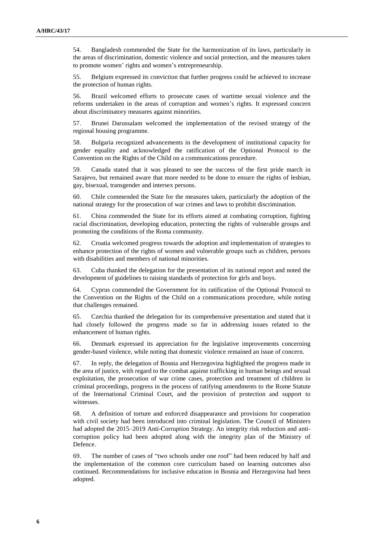54. Bangladesh commended the State for the harmonization of its laws, particularly in the areas of discrimination, domestic violence and social protection, and the measures taken to promote women' rights and women's entrepreneurship.

55. Belgium expressed its conviction that further progress could be achieved to increase the protection of human rights.

56. Brazil welcomed efforts to prosecute cases of wartime sexual violence and the reforms undertaken in the areas of corruption and women's rights. It expressed concern about discriminatory measures against minorities.

57. Brunei Darussalam welcomed the implementation of the revised strategy of the regional housing programme.

58. Bulgaria recognized advancements in the development of institutional capacity for gender equality and acknowledged the ratification of the Optional Protocol to the Convention on the Rights of the Child on a communications procedure.

59. Canada stated that it was pleased to see the success of the first pride march in Sarajevo, but remained aware that more needed to be done to ensure the rights of lesbian, gay, bisexual, transgender and intersex persons.

60. Chile commended the State for the measures taken, particularly the adoption of the national strategy for the prosecution of war crimes and laws to prohibit discrimination.

61. China commended the State for its efforts aimed at combating corruption, fighting racial discrimination, developing education, protecting the rights of vulnerable groups and promoting the conditions of the Roma community.

62. Croatia welcomed progress towards the adoption and implementation of strategies to enhance protection of the rights of women and vulnerable groups such as children, persons with disabilities and members of national minorities.

63. Cuba thanked the delegation for the presentation of its national report and noted the development of guidelines to raising standards of protection for girls and boys.

64. Cyprus commended the Government for its ratification of the Optional Protocol to the Convention on the Rights of the Child on a communications procedure, while noting that challenges remained.

65. Czechia thanked the delegation for its comprehensive presentation and stated that it had closely followed the progress made so far in addressing issues related to the enhancement of human rights.

66. Denmark expressed its appreciation for the legislative improvements concerning gender-based violence, while noting that domestic violence remained an issue of concern.

67. In reply, the delegation of Bosnia and Herzegovina highlighted the progress made in the area of justice, with regard to the combat against trafficking in human beings and sexual exploitation, the prosecution of war crime cases, protection and treatment of children in criminal proceedings, progress in the process of ratifying amendments to the Rome Statute of the International Criminal Court, and the provision of protection and support to witnesses.

68. A definition of torture and enforced disappearance and provisions for cooperation with civil society had been introduced into criminal legislation. The Council of Ministers had adopted the 2015–2019 Anti-Corruption Strategy. An integrity risk reduction and anticorruption policy had been adopted along with the integrity plan of the Ministry of Defence.

69. The number of cases of "two schools under one roof" had been reduced by half and the implementation of the common core curriculum based on learning outcomes also continued. Recommendations for inclusive education in Bosnia and Herzegovina had been adopted.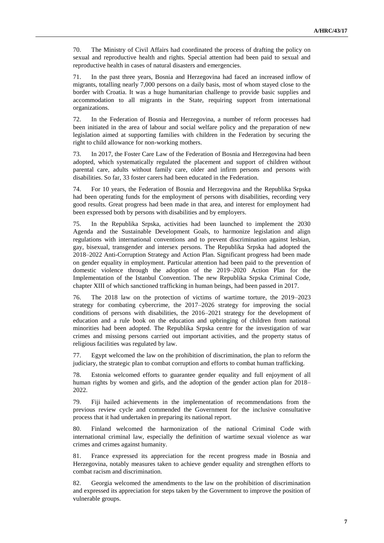70. The Ministry of Civil Affairs had coordinated the process of drafting the policy on sexual and reproductive health and rights. Special attention had been paid to sexual and reproductive health in cases of natural disasters and emergencies.

71. In the past three years, Bosnia and Herzegovina had faced an increased inflow of migrants, totalling nearly 7,000 persons on a daily basis, most of whom stayed close to the border with Croatia. It was a huge humanitarian challenge to provide basic supplies and accommodation to all migrants in the State, requiring support from international organizations.

72. In the Federation of Bosnia and Herzegovina, a number of reform processes had been initiated in the area of labour and social welfare policy and the preparation of new legislation aimed at supporting families with children in the Federation by securing the right to child allowance for non-working mothers.

73. In 2017, the Foster Care Law of the Federation of Bosnia and Herzegovina had been adopted, which systematically regulated the placement and support of children without parental care, adults without family care, older and infirm persons and persons with disabilities. So far, 33 foster carers had been educated in the Federation.

74. For 10 years, the Federation of Bosnia and Herzegovina and the Republika Srpska had been operating funds for the employment of persons with disabilities, recording very good results. Great progress had been made in that area, and interest for employment had been expressed both by persons with disabilities and by employers.

75. In the Republika Srpska, activities had been launched to implement the 2030 Agenda and the Sustainable Development Goals, to harmonize legislation and align regulations with international conventions and to prevent discrimination against lesbian, gay, bisexual, transgender and intersex persons. The Republika Srpska had adopted the 2018–2022 Anti-Corruption Strategy and Action Plan. Significant progress had been made on gender equality in employment. Particular attention had been paid to the prevention of domestic violence through the adoption of the 2019–2020 Action Plan for the Implementation of the Istanbul Convention. The new Republika Srpska Criminal Code, chapter XIII of which sanctioned trafficking in human beings, had been passed in 2017.

76. The 2018 law on the protection of victims of wartime torture, the 2019–2023 strategy for combating cybercrime, the 2017–2026 strategy for improving the social conditions of persons with disabilities, the 2016–2021 strategy for the development of education and a rule book on the education and upbringing of children from national minorities had been adopted. The Republika Srpska centre for the investigation of war crimes and missing persons carried out important activities, and the property status of religious facilities was regulated by law.

77. Egypt welcomed the law on the prohibition of discrimination, the plan to reform the judiciary, the strategic plan to combat corruption and efforts to combat human trafficking.

78. Estonia welcomed efforts to guarantee gender equality and full enjoyment of all human rights by women and girls, and the adoption of the gender action plan for 2018– 2022.

79. Fiji hailed achievements in the implementation of recommendations from the previous review cycle and commended the Government for the inclusive consultative process that it had undertaken in preparing its national report.

80. Finland welcomed the harmonization of the national Criminal Code with international criminal law, especially the definition of wartime sexual violence as war crimes and crimes against humanity.

81. France expressed its appreciation for the recent progress made in Bosnia and Herzegovina, notably measures taken to achieve gender equality and strengthen efforts to combat racism and discrimination.

82. Georgia welcomed the amendments to the law on the prohibition of discrimination and expressed its appreciation for steps taken by the Government to improve the position of vulnerable groups.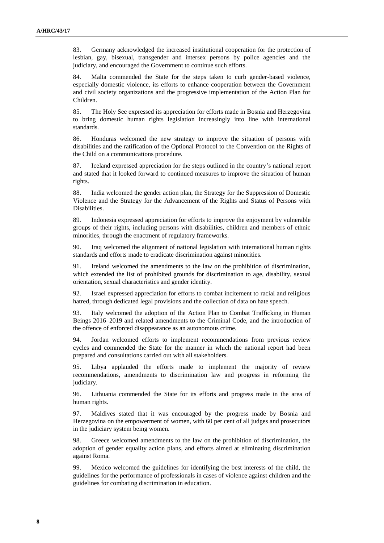83. Germany acknowledged the increased institutional cooperation for the protection of lesbian, gay, bisexual, transgender and intersex persons by police agencies and the judiciary, and encouraged the Government to continue such efforts.

84. Malta commended the State for the steps taken to curb gender-based violence, especially domestic violence, its efforts to enhance cooperation between the Government and civil society organizations and the progressive implementation of the Action Plan for Children.

85. The Holy See expressed its appreciation for efforts made in Bosnia and Herzegovina to bring domestic human rights legislation increasingly into line with international standards.

86. Honduras welcomed the new strategy to improve the situation of persons with disabilities and the ratification of the Optional Protocol to the Convention on the Rights of the Child on a communications procedure.

87. Iceland expressed appreciation for the steps outlined in the country's national report and stated that it looked forward to continued measures to improve the situation of human rights.

88. India welcomed the gender action plan, the Strategy for the Suppression of Domestic Violence and the Strategy for the Advancement of the Rights and Status of Persons with Disabilities.

89. Indonesia expressed appreciation for efforts to improve the enjoyment by vulnerable groups of their rights, including persons with disabilities, children and members of ethnic minorities, through the enactment of regulatory frameworks.

90. Iraq welcomed the alignment of national legislation with international human rights standards and efforts made to eradicate discrimination against minorities.

91. Ireland welcomed the amendments to the law on the prohibition of discrimination, which extended the list of prohibited grounds for discrimination to age, disability, sexual orientation, sexual characteristics and gender identity.

92. Israel expressed appreciation for efforts to combat incitement to racial and religious hatred, through dedicated legal provisions and the collection of data on hate speech.

93. Italy welcomed the adoption of the Action Plan to Combat Trafficking in Human Beings 2016–2019 and related amendments to the Criminal Code, and the introduction of the offence of enforced disappearance as an autonomous crime.

94. Jordan welcomed efforts to implement recommendations from previous review cycles and commended the State for the manner in which the national report had been prepared and consultations carried out with all stakeholders.

95. Libya applauded the efforts made to implement the majority of review recommendations, amendments to discrimination law and progress in reforming the judiciary.

96. Lithuania commended the State for its efforts and progress made in the area of human rights.

97. Maldives stated that it was encouraged by the progress made by Bosnia and Herzegovina on the empowerment of women, with 60 per cent of all judges and prosecutors in the judiciary system being women.

98. Greece welcomed amendments to the law on the prohibition of discrimination, the adoption of gender equality action plans, and efforts aimed at eliminating discrimination against Roma.

99. Mexico welcomed the guidelines for identifying the best interests of the child, the guidelines for the performance of professionals in cases of violence against children and the guidelines for combating discrimination in education.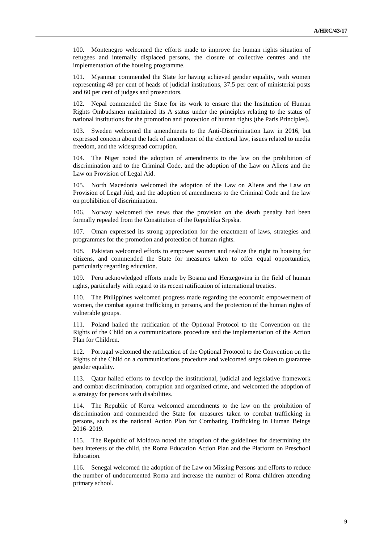100. Montenegro welcomed the efforts made to improve the human rights situation of refugees and internally displaced persons, the closure of collective centres and the implementation of the housing programme.

101. Myanmar commended the State for having achieved gender equality, with women representing 48 per cent of heads of judicial institutions, 37.5 per cent of ministerial posts and 60 per cent of judges and prosecutors.

102. Nepal commended the State for its work to ensure that the Institution of Human Rights Ombudsmen maintained its A status under the principles relating to the status of national institutions for the promotion and protection of human rights (the Paris Principles).

103. Sweden welcomed the amendments to the Anti-Discrimination Law in 2016, but expressed concern about the lack of amendment of the electoral law, issues related to media freedom, and the widespread corruption.

104. The Niger noted the adoption of amendments to the law on the prohibition of discrimination and to the Criminal Code, and the adoption of the Law on Aliens and the Law on Provision of Legal Aid.

105. North Macedonia welcomed the adoption of the Law on Aliens and the Law on Provision of Legal Aid, and the adoption of amendments to the Criminal Code and the law on prohibition of discrimination.

106. Norway welcomed the news that the provision on the death penalty had been formally repealed from the Constitution of the Republika Srpska.

107. Oman expressed its strong appreciation for the enactment of laws, strategies and programmes for the promotion and protection of human rights.

108. Pakistan welcomed efforts to empower women and realize the right to housing for citizens, and commended the State for measures taken to offer equal opportunities, particularly regarding education.

109. Peru acknowledged efforts made by Bosnia and Herzegovina in the field of human rights, particularly with regard to its recent ratification of international treaties.

110. The Philippines welcomed progress made regarding the economic empowerment of women, the combat against trafficking in persons, and the protection of the human rights of vulnerable groups.

111. Poland hailed the ratification of the Optional Protocol to the Convention on the Rights of the Child on a communications procedure and the implementation of the Action Plan for Children.

112. Portugal welcomed the ratification of the Optional Protocol to the Convention on the Rights of the Child on a communications procedure and welcomed steps taken to guarantee gender equality.

113. Qatar hailed efforts to develop the institutional, judicial and legislative framework and combat discrimination, corruption and organized crime, and welcomed the adoption of a strategy for persons with disabilities.

114. The Republic of Korea welcomed amendments to the law on the prohibition of discrimination and commended the State for measures taken to combat trafficking in persons, such as the national Action Plan for Combating Trafficking in Human Beings 2016–2019.

115. The Republic of Moldova noted the adoption of the guidelines for determining the best interests of the child, the Roma Education Action Plan and the Platform on Preschool Education.

116. Senegal welcomed the adoption of the Law on Missing Persons and efforts to reduce the number of undocumented Roma and increase the number of Roma children attending primary school.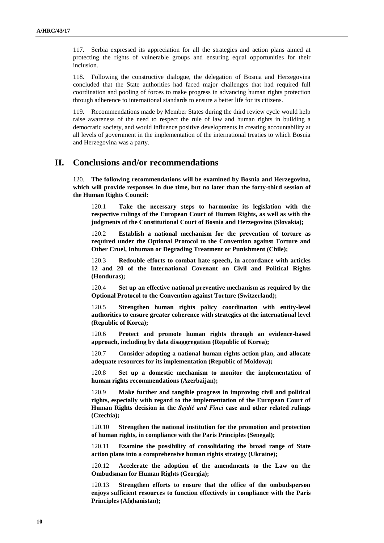117. Serbia expressed its appreciation for all the strategies and action plans aimed at protecting the rights of vulnerable groups and ensuring equal opportunities for their inclusion.

118. Following the constructive dialogue, the delegation of Bosnia and Herzegovina concluded that the State authorities had faced major challenges that had required full coordination and pooling of forces to make progress in advancing human rights protection through adherence to international standards to ensure a better life for its citizens.

119. Recommendations made by Member States during the third review cycle would help raise awareness of the need to respect the rule of law and human rights in building a democratic society, and would influence positive developments in creating accountability at all levels of government in the implementation of the international treaties to which Bosnia and Herzegovina was a party.

## **II. Conclusions and/or recommendations**

120. **The following recommendations will be examined by Bosnia and Herzegovina, which will provide responses in due time, but no later than the forty-third session of the Human Rights Council:**

120.1 **Take the necessary steps to harmonize its legislation with the respective rulings of the European Court of Human Rights, as well as with the judgments of the Constitutional Court of Bosnia and Herzegovina (Slovakia);**

120.2 **Establish a national mechanism for the prevention of torture as required under the Optional Protocol to the Convention against Torture and Other Cruel, Inhuman or Degrading Treatment or Punishment (Chile);**

120.3 **Redouble efforts to combat hate speech, in accordance with articles 12 and 20 of the International Covenant on Civil and Political Rights (Honduras);**

120.4 **Set up an effective national preventive mechanism as required by the Optional Protocol to the Convention against Torture (Switzerland);**

120.5 **Strengthen human rights policy coordination with entity-level authorities to ensure greater coherence with strategies at the international level (Republic of Korea);**

120.6 **Protect and promote human rights through an evidence-based approach, including by data disaggregation (Republic of Korea);**

120.7 **Consider adopting a national human rights action plan, and allocate adequate resources for its implementation (Republic of Moldova);**

120.8 **Set up a domestic mechanism to monitor the implementation of human rights recommendations (Azerbaijan);** 

120.9 **Make further and tangible progress in improving civil and political rights, especially with regard to the implementation of the European Court of Human Rights decision in the** *Sejdić and Finci* **case and other related rulings (Czechia);**

120.10 **Strengthen the national institution for the promotion and protection of human rights, in compliance with the Paris Principles (Senegal);**

120.11 **Examine the possibility of consolidating the broad range of State action plans into a comprehensive human rights strategy (Ukraine);**

120.12 **Accelerate the adoption of the amendments to the Law on the Ombudsman for Human Rights (Georgia);**

120.13 **Strengthen efforts to ensure that the office of the ombudsperson enjoys sufficient resources to function effectively in compliance with the Paris Principles (Afghanistan);**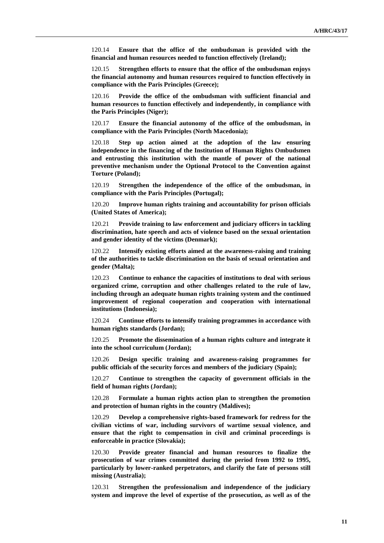120.14 **Ensure that the office of the ombudsman is provided with the financial and human resources needed to function effectively (Ireland);**

120.15 **Strengthen efforts to ensure that the office of the ombudsman enjoys the financial autonomy and human resources required to function effectively in compliance with the Paris Principles (Greece);**

120.16 **Provide the office of the ombudsman with sufficient financial and human resources to function effectively and independently, in compliance with the Paris Principles (Niger);**

120.17 **Ensure the financial autonomy of the office of the ombudsman, in compliance with the Paris Principles (North Macedonia);**

120.18 **Step up action aimed at the adoption of the law ensuring independence in the financing of the Institution of Human Rights Ombudsmen and entrusting this institution with the mantle of power of the national preventive mechanism under the Optional Protocol to the Convention against Torture (Poland);**

120.19 **Strengthen the independence of the office of the ombudsman, in compliance with the Paris Principles (Portugal);**

120.20 **Improve human rights training and accountability for prison officials (United States of America);**

120.21 **Provide training to law enforcement and judiciary officers in tackling discrimination, hate speech and acts of violence based on the sexual orientation and gender identity of the victims (Denmark);**

120.22 **Intensify existing efforts aimed at the awareness-raising and training of the authorities to tackle discrimination on the basis of sexual orientation and gender (Malta);**

120.23 **Continue to enhance the capacities of institutions to deal with serious organized crime, corruption and other challenges related to the rule of law, including through an adequate human rights training system and the continued improvement of regional cooperation and cooperation with international institutions (Indonesia);**

120.24 **Continue efforts to intensify training programmes in accordance with human rights standards (Jordan);**

120.25 **Promote the dissemination of a human rights culture and integrate it into the school curriculum (Jordan);**

120.26 **Design specific training and awareness-raising programmes for public officials of the security forces and members of the judiciary (Spain);**

120.27 **Continue to strengthen the capacity of government officials in the field of human rights (Jordan);**

120.28 **Formulate a human rights action plan to strengthen the promotion and protection of human rights in the country (Maldives);**

120.29 **Develop a comprehensive rights-based framework for redress for the civilian victims of war, including survivors of wartime sexual violence, and ensure that the right to compensation in civil and criminal proceedings is enforceable in practice (Slovakia);**

120.30 **Provide greater financial and human resources to finalize the prosecution of war crimes committed during the period from 1992 to 1995, particularly by lower-ranked perpetrators, and clarify the fate of persons still missing (Australia);**

120.31 **Strengthen the professionalism and independence of the judiciary system and improve the level of expertise of the prosecution, as well as of the**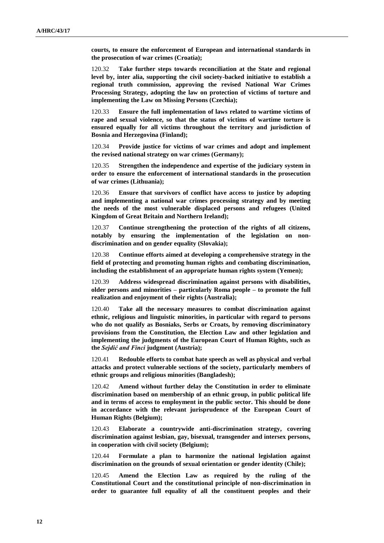**courts, to ensure the enforcement of European and international standards in the prosecution of war crimes (Croatia);**

120.32 **Take further steps towards reconciliation at the State and regional level by, inter alia, supporting the civil society-backed initiative to establish a regional truth commission, approving the revised National War Crimes Processing Strategy, adopting the law on protection of victims of torture and implementing the Law on Missing Persons (Czechia);**

120.33 **Ensure the full implementation of laws related to wartime victims of rape and sexual violence, so that the status of victims of wartime torture is ensured equally for all victims throughout the territory and jurisdiction of Bosnia and Herzegovina (Finland);**

120.34 **Provide justice for victims of war crimes and adopt and implement the revised national strategy on war crimes (Germany);**

120.35 **Strengthen the independence and expertise of the judiciary system in order to ensure the enforcement of international standards in the prosecution of war crimes (Lithuania);**

120.36 **Ensure that survivors of conflict have access to justice by adopting and implementing a national war crimes processing strategy and by meeting the needs of the most vulnerable displaced persons and refugees (United Kingdom of Great Britain and Northern Ireland);**

120.37 **Continue strengthening the protection of the rights of all citizens, notably by ensuring the implementation of the legislation on nondiscrimination and on gender equality (Slovakia);**

120.38 **Continue efforts aimed at developing a comprehensive strategy in the field of protecting and promoting human rights and combating discrimination, including the establishment of an appropriate human rights system (Yemen);**

120.39 **Address widespread discrimination against persons with disabilities, older persons and minorities – particularly Roma people – to promote the full realization and enjoyment of their rights (Australia);**

120.40 **Take all the necessary measures to combat discrimination against ethnic, religious and linguistic minorities, in particular with regard to persons who do not qualify as Bosniaks, Serbs or Croats, by removing discriminatory provisions from the Constitution, the Election Law and other legislation and implementing the judgments of the European Court of Human Rights, such as the** *Sejdić and Finci* **judgment (Austria);**

120.41 **Redouble efforts to combat hate speech as well as physical and verbal attacks and protect vulnerable sections of the society, particularly members of ethnic groups and religious minorities (Bangladesh);**

120.42 **Amend without further delay the Constitution in order to eliminate discrimination based on membership of an ethnic group, in public political life and in terms of access to employment in the public sector. This should be done in accordance with the relevant jurisprudence of the European Court of Human Rights (Belgium);**

120.43 **Elaborate a countrywide anti-discrimination strategy, covering discrimination against lesbian, gay, bisexual, transgender and intersex persons, in cooperation with civil society (Belgium);**

120.44 **Formulate a plan to harmonize the national legislation against discrimination on the grounds of sexual orientation or gender identity (Chile);**

120.45 **Amend the Election Law as required by the ruling of the Constitutional Court and the constitutional principle of non-discrimination in order to guarantee full equality of all the constituent peoples and their**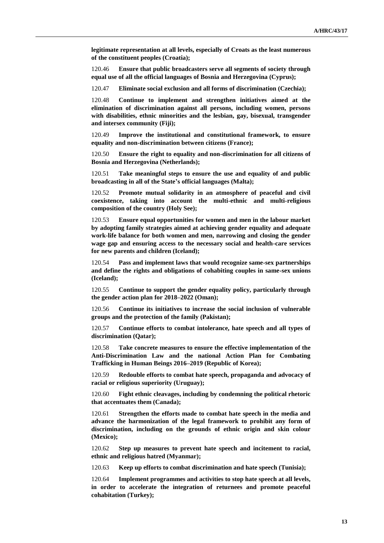**legitimate representation at all levels, especially of Croats as the least numerous of the constituent peoples (Croatia);**

120.46 **Ensure that public broadcasters serve all segments of society through equal use of all the official languages of Bosnia and Herzegovina (Cyprus);**

120.47 **Eliminate social exclusion and all forms of discrimination (Czechia);**

120.48 **Continue to implement and strengthen initiatives aimed at the elimination of discrimination against all persons, including women, persons with disabilities, ethnic minorities and the lesbian, gay, bisexual, transgender and intersex community (Fiji);**

120.49 **Improve the institutional and constitutional framework, to ensure equality and non-discrimination between citizens (France);**

120.50 **Ensure the right to equality and non-discrimination for all citizens of Bosnia and Herzegovina (Netherlands);**

120.51 **Take meaningful steps to ensure the use and equality of and public broadcasting in all of the State's official languages (Malta);**

120.52 **Promote mutual solidarity in an atmosphere of peaceful and civil coexistence, taking into account the multi-ethnic and multi-religious composition of the country (Holy See);**

120.53 **Ensure equal opportunities for women and men in the labour market by adopting family strategies aimed at achieving gender equality and adequate work-life balance for both women and men, narrowing and closing the gender wage gap and ensuring access to the necessary social and health-care services for new parents and children (Iceland);**

120.54 **Pass and implement laws that would recognize same-sex partnerships and define the rights and obligations of cohabiting couples in same-sex unions (Iceland);**

120.55 **Continue to support the gender equality policy, particularly through the gender action plan for 2018–2022 (Oman);**

120.56 **Continue its initiatives to increase the social inclusion of vulnerable groups and the protection of the family (Pakistan);**

120.57 **Continue efforts to combat intolerance, hate speech and all types of discrimination (Qatar);**

120.58 **Take concrete measures to ensure the effective implementation of the Anti-Discrimination Law and the national Action Plan for Combating Trafficking in Human Beings 2016–2019 (Republic of Korea);**

120.59 **Redouble efforts to combat hate speech, propaganda and advocacy of racial or religious superiority (Uruguay);**

120.60 **Fight ethnic cleavages, including by condemning the political rhetoric that accentuates them (Canada);**

120.61 **Strengthen the efforts made to combat hate speech in the media and advance the harmonization of the legal framework to prohibit any form of discrimination, including on the grounds of ethnic origin and skin colour (Mexico);**

120.62 **Step up measures to prevent hate speech and incitement to racial, ethnic and religious hatred (Myanmar);**

120.63 **Keep up efforts to combat discrimination and hate speech (Tunisia);**

120.64 **Implement programmes and activities to stop hate speech at all levels, in order to accelerate the integration of returnees and promote peaceful cohabitation (Turkey);**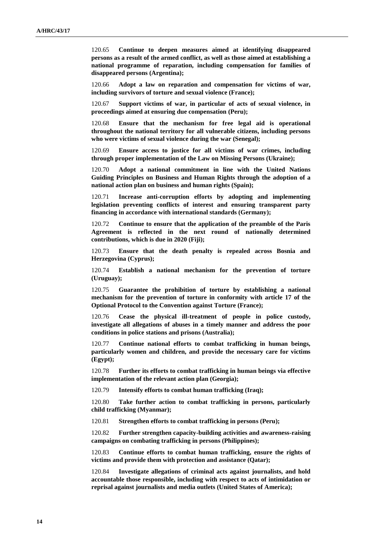120.65 **Continue to deepen measures aimed at identifying disappeared persons as a result of the armed conflict, as well as those aimed at establishing a national programme of reparation, including compensation for families of disappeared persons (Argentina);**

120.66 **Adopt a law on reparation and compensation for victims of war, including survivors of torture and sexual violence (France);**

120.67 **Support victims of war, in particular of acts of sexual violence, in proceedings aimed at ensuring due compensation (Peru);**

120.68 **Ensure that the mechanism for free legal aid is operational throughout the national territory for all vulnerable citizens, including persons who were victims of sexual violence during the war (Senegal);**

120.69 **Ensure access to justice for all victims of war crimes, including through proper implementation of the Law on Missing Persons (Ukraine);**

120.70 **Adopt a national commitment in line with the United Nations Guiding Principles on Business and Human Rights through the adoption of a national action plan on business and human rights (Spain);**

120.71 **Increase anti-corruption efforts by adopting and implementing legislation preventing conflicts of interest and ensuring transparent party financing in accordance with international standards (Germany);**

120.72 **Continue to ensure that the application of the preamble of the Paris Agreement is reflected in the next round of nationally determined contributions, which is due in 2020 (Fiji);**

120.73 **Ensure that the death penalty is repealed across Bosnia and Herzegovina (Cyprus);**

120.74 **Establish a national mechanism for the prevention of torture (Uruguay);**

120.75 **Guarantee the prohibition of torture by establishing a national mechanism for the prevention of torture in conformity with article 17 of the Optional Protocol to the Convention against Torture (France);**

120.76 **Cease the physical ill-treatment of people in police custody, investigate all allegations of abuses in a timely manner and address the poor conditions in police stations and prisons (Australia);**

120.77 **Continue national efforts to combat trafficking in human beings, particularly women and children, and provide the necessary care for victims (Egypt);**

120.78 **Further its efforts to combat trafficking in human beings via effective implementation of the relevant action plan (Georgia);**

120.79 **Intensify efforts to combat human trafficking (Iraq);**

120.80 **Take further action to combat trafficking in persons, particularly child trafficking (Myanmar);**

120.81 **Strengthen efforts to combat trafficking in persons (Peru);**

120.82 **Further strengthen capacity-building activities and awareness-raising campaigns on combating trafficking in persons (Philippines);**

120.83 **Continue efforts to combat human trafficking, ensure the rights of victims and provide them with protection and assistance (Qatar);**

120.84 **Investigate allegations of criminal acts against journalists, and hold accountable those responsible, including with respect to acts of intimidation or reprisal against journalists and media outlets (United States of America);**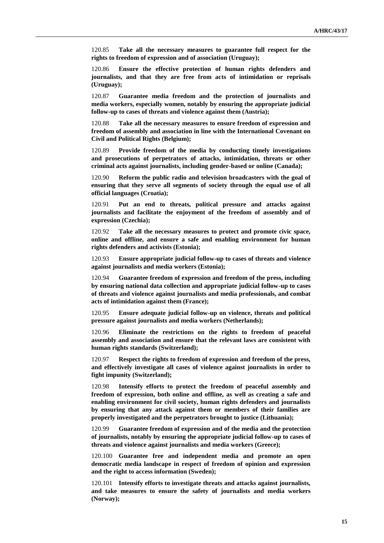120.85 **Take all the necessary measures to guarantee full respect for the rights to freedom of expression and of association (Uruguay);**

120.86 **Ensure the effective protection of human rights defenders and journalists, and that they are free from acts of intimidation or reprisals (Uruguay);**

120.87 **Guarantee media freedom and the protection of journalists and media workers, especially women, notably by ensuring the appropriate judicial follow-up to cases of threats and violence against them (Austria);**

120.88 **Take all the necessary measures to ensure freedom of expression and freedom of assembly and association in line with the International Covenant on Civil and Political Rights (Belgium);**

120.89 **Provide freedom of the media by conducting timely investigations and prosecutions of perpetrators of attacks, intimidation, threats or other criminal acts against journalists, including gender-based or online (Canada);**

120.90 **Reform the public radio and television broadcasters with the goal of ensuring that they serve all segments of society through the equal use of all official languages (Croatia);**

120.91 **Put an end to threats, political pressure and attacks against journalists and facilitate the enjoyment of the freedom of assembly and of expression (Czechia);**

120.92 **Take all the necessary measures to protect and promote civic space, online and offline, and ensure a safe and enabling environment for human rights defenders and activists (Estonia);**

120.93 **Ensure appropriate judicial follow-up to cases of threats and violence against journalists and media workers (Estonia);**

120.94 **Guarantee freedom of expression and freedom of the press, including by ensuring national data collection and appropriate judicial follow-up to cases of threats and violence against journalists and media professionals, and combat acts of intimidation against them (France);**

120.95 **Ensure adequate judicial follow-up on violence, threats and political pressure against journalists and media workers (Netherlands);**

120.96 **Eliminate the restrictions on the rights to freedom of peaceful assembly and association and ensure that the relevant laws are consistent with human rights standards (Switzerland);**

120.97 **Respect the rights to freedom of expression and freedom of the press, and effectively investigate all cases of violence against journalists in order to fight impunity (Switzerland);**

120.98 **Intensify efforts to protect the freedom of peaceful assembly and freedom of expression, both online and offline, as well as creating a safe and enabling environment for civil society, human rights defenders and journalists by ensuring that any attack against them or members of their families are properly investigated and the perpetrators brought to justice (Lithuania);**

120.99 **Guarantee freedom of expression and of the media and the protection of journalists, notably by ensuring the appropriate judicial follow-up to cases of threats and violence against journalists and media workers (Greece);**

120.100 **Guarantee free and independent media and promote an open democratic media landscape in respect of freedom of opinion and expression and the right to access information (Sweden);**

120.101 **Intensify efforts to investigate threats and attacks against journalists, and take measures to ensure the safety of journalists and media workers (Norway);**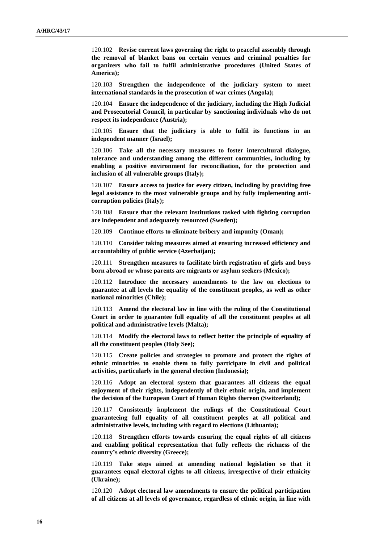120.102 **Revise current laws governing the right to peaceful assembly through the removal of blanket bans on certain venues and criminal penalties for organizers who fail to fulfil administrative procedures (United States of America);**

120.103 **Strengthen the independence of the judiciary system to meet international standards in the prosecution of war crimes (Angola);**

120.104 **Ensure the independence of the judiciary, including the High Judicial and Prosecutorial Council, in particular by sanctioning individuals who do not respect its independence (Austria);**

120.105 **Ensure that the judiciary is able to fulfil its functions in an independent manner (Israel);**

120.106 **Take all the necessary measures to foster intercultural dialogue, tolerance and understanding among the different communities, including by enabling a positive environment for reconciliation, for the protection and inclusion of all vulnerable groups (Italy);**

120.107 **Ensure access to justice for every citizen, including by providing free legal assistance to the most vulnerable groups and by fully implementing anticorruption policies (Italy);**

120.108 **Ensure that the relevant institutions tasked with fighting corruption are independent and adequately resourced (Sweden);**

120.109 **Continue efforts to eliminate bribery and impunity (Oman);**

120.110 **Consider taking measures aimed at ensuring increased efficiency and accountability of public service (Azerbaijan);**

120.111 **Strengthen measures to facilitate birth registration of girls and boys born abroad or whose parents are migrants or asylum seekers (Mexico);**

120.112 **Introduce the necessary amendments to the law on elections to guarantee at all levels the equality of the constituent peoples, as well as other national minorities (Chile);**

120.113 **Amend the electoral law in line with the ruling of the Constitutional Court in order to guarantee full equality of all the constituent peoples at all political and administrative levels (Malta);**

120.114 **Modify the electoral laws to reflect better the principle of equality of all the constituent peoples (Holy See);**

120.115 **Create policies and strategies to promote and protect the rights of ethnic minorities to enable them to fully participate in civil and political activities, particularly in the general election (Indonesia);**

120.116 **Adopt an electoral system that guarantees all citizens the equal enjoyment of their rights, independently of their ethnic origin, and implement the decision of the European Court of Human Rights thereon (Switzerland);**

120.117 **Consistently implement the rulings of the Constitutional Court guaranteeing full equality of all constituent peoples at all political and administrative levels, including with regard to elections (Lithuania);**

120.118 **Strengthen efforts towards ensuring the equal rights of all citizens and enabling political representation that fully reflects the richness of the country's ethnic diversity (Greece);**

120.119 **Take steps aimed at amending national legislation so that it guarantees equal electoral rights to all citizens, irrespective of their ethnicity (Ukraine);**

120.120 **Adopt electoral law amendments to ensure the political participation of all citizens at all levels of governance, regardless of ethnic origin, in line with**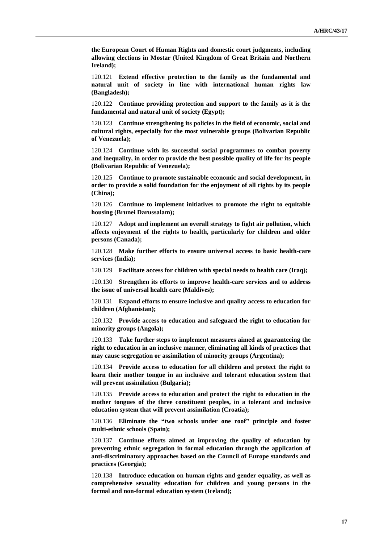**the European Court of Human Rights and domestic court judgments, including allowing elections in Mostar (United Kingdom of Great Britain and Northern Ireland);**

120.121 **Extend effective protection to the family as the fundamental and natural unit of society in line with international human rights law (Bangladesh);**

120.122 **Continue providing protection and support to the family as it is the fundamental and natural unit of society (Egypt);**

120.123 **Continue strengthening its policies in the field of economic, social and cultural rights, especially for the most vulnerable groups (Bolivarian Republic of Venezuela);**

120.124 **Continue with its successful social programmes to combat poverty and inequality, in order to provide the best possible quality of life for its people (Bolivarian Republic of Venezuela);**

120.125 **Continue to promote sustainable economic and social development, in order to provide a solid foundation for the enjoyment of all rights by its people (China);**

120.126 **Continue to implement initiatives to promote the right to equitable housing (Brunei Darussalam);**

120.127 **Adopt and implement an overall strategy to fight air pollution, which affects enjoyment of the rights to health, particularly for children and older persons (Canada);**

120.128 **Make further efforts to ensure universal access to basic health-care services (India);**

120.129 **Facilitate access for children with special needs to health care (Iraq);**

120.130 **Strengthen its efforts to improve health-care services and to address the issue of universal health care (Maldives);**

120.131 **Expand efforts to ensure inclusive and quality access to education for children (Afghanistan);**

120.132 **Provide access to education and safeguard the right to education for minority groups (Angola);**

120.133 **Take further steps to implement measures aimed at guaranteeing the right to education in an inclusive manner, eliminating all kinds of practices that may cause segregation or assimilation of minority groups (Argentina);**

120.134 **Provide access to education for all children and protect the right to learn their mother tongue in an inclusive and tolerant education system that will prevent assimilation (Bulgaria);**

120.135 **Provide access to education and protect the right to education in the mother tongues of the three constituent peoples, in a tolerant and inclusive education system that will prevent assimilation (Croatia);**

120.136 **Eliminate the "two schools under one roof" principle and foster multi-ethnic schools (Spain);**

120.137 **Continue efforts aimed at improving the quality of education by preventing ethnic segregation in formal education through the application of anti-discriminatory approaches based on the Council of Europe standards and practices (Georgia);**

120.138 **Introduce education on human rights and gender equality, as well as comprehensive sexuality education for children and young persons in the formal and non-formal education system (Iceland);**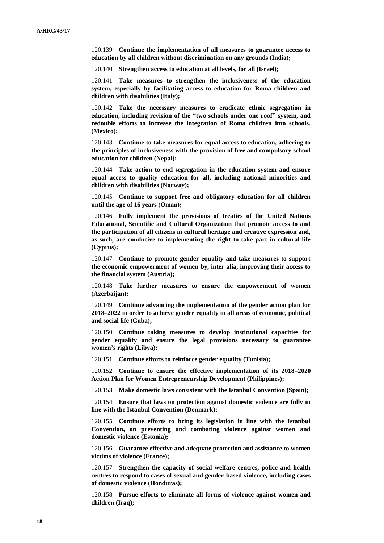120.139 **Continue the implementation of all measures to guarantee access to education by all children without discrimination on any grounds (India);**

120.140 **Strengthen access to education at all levels, for all (Israel);**

120.141 **Take measures to strengthen the inclusiveness of the education system, especially by facilitating access to education for Roma children and children with disabilities (Italy);**

120.142 **Take the necessary measures to eradicate ethnic segregation in education, including revision of the "two schools under one roof" system, and redouble efforts to increase the integration of Roma children into schools. (Mexico);**

120.143 **Continue to take measures for equal access to education, adhering to the principles of inclusiveness with the provision of free and compulsory school education for children (Nepal);**

120.144 **Take action to end segregation in the education system and ensure equal access to quality education for all, including national minorities and children with disabilities (Norway);**

120.145 **Continue to support free and obligatory education for all children until the age of 16 years (Oman);**

120.146 **Fully implement the provisions of treaties of the United Nations Educational, Scientific and Cultural Organization that promote access to and the participation of all citizens in cultural heritage and creative expression and, as such, are conducive to implementing the right to take part in cultural life (Cyprus);**

120.147 **Continue to promote gender equality and take measures to support the economic empowerment of women by, inter alia, improving their access to the financial system (Austria);**

120.148 **Take further measures to ensure the empowerment of women (Azerbaijan);**

120.149 **Continue advancing the implementation of the gender action plan for 2018–2022 in order to achieve gender equality in all areas of economic, political and social life (Cuba);**

120.150 **Continue taking measures to develop institutional capacities for gender equality and ensure the legal provisions necessary to guarantee women's rights (Libya);**

120.151 **Continue efforts to reinforce gender equality (Tunisia);**

120.152 **Continue to ensure the effective implementation of its 2018–2020 Action Plan for Women Entrepreneurship Development (Philippines);**

120.153 **Make domestic laws consistent with the Istanbul Convention (Spain);**

120.154 **Ensure that laws on protection against domestic violence are fully in line with the Istanbul Convention (Denmark);**

120.155 **Continue efforts to bring its legislation in line with the Istanbul Convention, on preventing and combating violence against women and domestic violence (Estonia);**

120.156 **Guarantee effective and adequate protection and assistance to women victims of violence (France);**

120.157 **Strengthen the capacity of social welfare centres, police and health centres to respond to cases of sexual and gender-based violence, including cases of domestic violence (Honduras);**

120.158 **Pursue efforts to eliminate all forms of violence against women and children (Iraq);**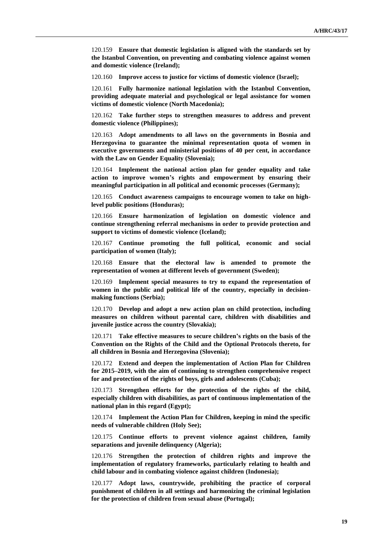120.159 **Ensure that domestic legislation is aligned with the standards set by the Istanbul Convention, on preventing and combating violence against women and domestic violence (Ireland);**

120.160 **Improve access to justice for victims of domestic violence (Israel);**

120.161 **Fully harmonize national legislation with the Istanbul Convention, providing adequate material and psychological or legal assistance for women victims of domestic violence (North Macedonia);**

120.162 **Take further steps to strengthen measures to address and prevent domestic violence (Philippines);**

120.163 **Adopt amendments to all laws on the governments in Bosnia and Herzegovina to guarantee the minimal representation quota of women in executive governments and ministerial positions of 40 per cent, in accordance with the Law on Gender Equality (Slovenia);**

120.164 **Implement the national action plan for gender equality and take action to improve women's rights and empowerment by ensuring their meaningful participation in all political and economic processes (Germany);**

120.165 **Conduct awareness campaigns to encourage women to take on highlevel public positions (Honduras);**

120.166 **Ensure harmonization of legislation on domestic violence and continue strengthening referral mechanisms in order to provide protection and support to victims of domestic violence (Iceland);**

120.167 **Continue promoting the full political, economic and social participation of women (Italy);**

120.168 **Ensure that the electoral law is amended to promote the representation of women at different levels of government (Sweden);**

120.169 **Implement special measures to try to expand the representation of women in the public and political life of the country, especially in decisionmaking functions (Serbia);**

120.170 **Develop and adopt a new action plan on child protection, including measures on children without parental care, children with disabilities and juvenile justice across the country (Slovakia);**

120.171 **Take effective measures to secure children's rights on the basis of the Convention on the Rights of the Child and the Optional Protocols thereto, for all children in Bosnia and Herzegovina (Slovenia);**

120.172 **Extend and deepen the implementation of Action Plan for Children for 2015–2019, with the aim of continuing to strengthen comprehensive respect for and protection of the rights of boys, girls and adolescents (Cuba);**

120.173 **Strengthen efforts for the protection of the rights of the child, especially children with disabilities, as part of continuous implementation of the national plan in this regard (Egypt);**

120.174 **Implement the Action Plan for Children, keeping in mind the specific needs of vulnerable children (Holy See);**

120.175 **Continue efforts to prevent violence against children, family separations and juvenile delinquency (Algeria);**

120.176 **Strengthen the protection of children rights and improve the implementation of regulatory frameworks, particularly relating to health and child labour and in combating violence against children (Indonesia);**

120.177 **Adopt laws, countrywide, prohibiting the practice of corporal punishment of children in all settings and harmonizing the criminal legislation for the protection of children from sexual abuse (Portugal);**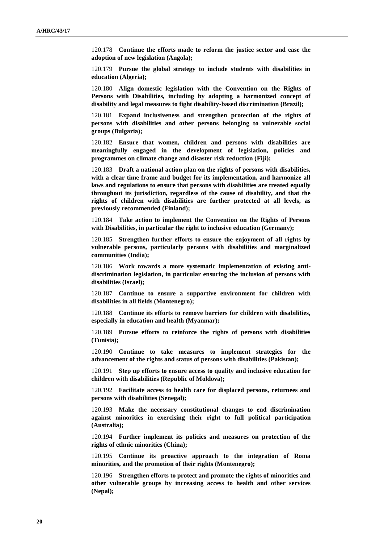120.178 **Continue the efforts made to reform the justice sector and ease the adoption of new legislation (Angola);**

120.179 **Pursue the global strategy to include students with disabilities in education (Algeria);**

120.180 **Align domestic legislation with the Convention on the Rights of Persons with Disabilities, including by adopting a harmonized concept of disability and legal measures to fight disability-based discrimination (Brazil);**

120.181 **Expand inclusiveness and strengthen protection of the rights of persons with disabilities and other persons belonging to vulnerable social groups (Bulgaria);**

120.182 **Ensure that women, children and persons with disabilities are meaningfully engaged in the development of legislation, policies and programmes on climate change and disaster risk reduction (Fiji);**

120.183 **Draft a national action plan on the rights of persons with disabilities, with a clear time frame and budget for its implementation, and harmonize all laws and regulations to ensure that persons with disabilities are treated equally throughout its jurisdiction, regardless of the cause of disability, and that the rights of children with disabilities are further protected at all levels, as previously recommended (Finland);**

120.184 **Take action to implement the Convention on the Rights of Persons with Disabilities, in particular the right to inclusive education (Germany);**

120.185 **Strengthen further efforts to ensure the enjoyment of all rights by vulnerable persons, particularly persons with disabilities and marginalized communities (India);**

120.186 **Work towards a more systematic implementation of existing antidiscrimination legislation, in particular ensuring the inclusion of persons with disabilities (Israel);**

120.187 **Continue to ensure a supportive environment for children with disabilities in all fields (Montenegro);**

120.188 **Continue its efforts to remove barriers for children with disabilities, especially in education and health (Myanmar);**

120.189 **Pursue efforts to reinforce the rights of persons with disabilities (Tunisia);**

120.190 **Continue to take measures to implement strategies for the advancement of the rights and status of persons with disabilities (Pakistan);**

120.191 **Step up efforts to ensure access to quality and inclusive education for children with disabilities (Republic of Moldova);**

120.192 **Facilitate access to health care for displaced persons, returnees and persons with disabilities (Senegal);**

120.193 **Make the necessary constitutional changes to end discrimination against minorities in exercising their right to full political participation (Australia);**

120.194 **Further implement its policies and measures on protection of the rights of ethnic minorities (China);**

120.195 **Continue its proactive approach to the integration of Roma minorities, and the promotion of their rights (Montenegro);**

120.196 **Strengthen efforts to protect and promote the rights of minorities and other vulnerable groups by increasing access to health and other services (Nepal);**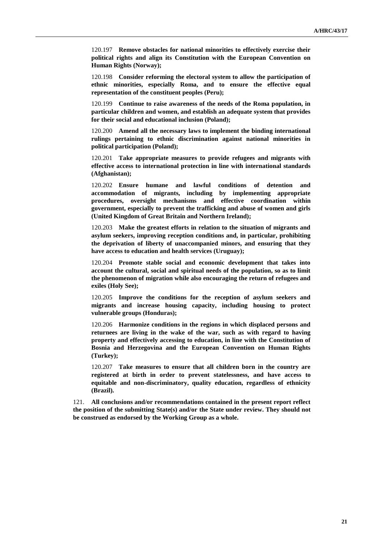120.197 **Remove obstacles for national minorities to effectively exercise their political rights and align its Constitution with the European Convention on Human Rights (Norway);**

120.198 **Consider reforming the electoral system to allow the participation of ethnic minorities, especially Roma, and to ensure the effective equal representation of the constituent peoples (Peru);**

120.199 **Continue to raise awareness of the needs of the Roma population, in particular children and women, and establish an adequate system that provides for their social and educational inclusion (Poland);**

120.200 **Amend all the necessary laws to implement the binding international rulings pertaining to ethnic discrimination against national minorities in political participation (Poland);**

120.201 **Take appropriate measures to provide refugees and migrants with effective access to international protection in line with international standards (Afghanistan);**

120.202 **Ensure humane and lawful conditions of detention and accommodation of migrants, including by implementing appropriate procedures, oversight mechanisms and effective coordination within government, especially to prevent the trafficking and abuse of women and girls (United Kingdom of Great Britain and Northern Ireland);**

120.203 **Make the greatest efforts in relation to the situation of migrants and asylum seekers, improving reception conditions and, in particular, prohibiting the deprivation of liberty of unaccompanied minors, and ensuring that they have access to education and health services (Uruguay);**

120.204 **Promote stable social and economic development that takes into account the cultural, social and spiritual needs of the population, so as to limit the phenomenon of migration while also encouraging the return of refugees and exiles (Holy See);**

120.205 **Improve the conditions for the reception of asylum seekers and migrants and increase housing capacity, including housing to protect vulnerable groups (Honduras);**

120.206 **Harmonize conditions in the regions in which displaced persons and returnees are living in the wake of the war, such as with regard to having property and effectively accessing to education, in line with the Constitution of Bosnia and Herzegovina and the European Convention on Human Rights (Turkey);**

120.207 **Take measures to ensure that all children born in the country are registered at birth in order to prevent statelessness, and have access to equitable and non-discriminatory, quality education, regardless of ethnicity (Brazil).**

121. **All conclusions and/or recommendations contained in the present report reflect the position of the submitting State(s) and/or the State under review. They should not be construed as endorsed by the Working Group as a whole.**